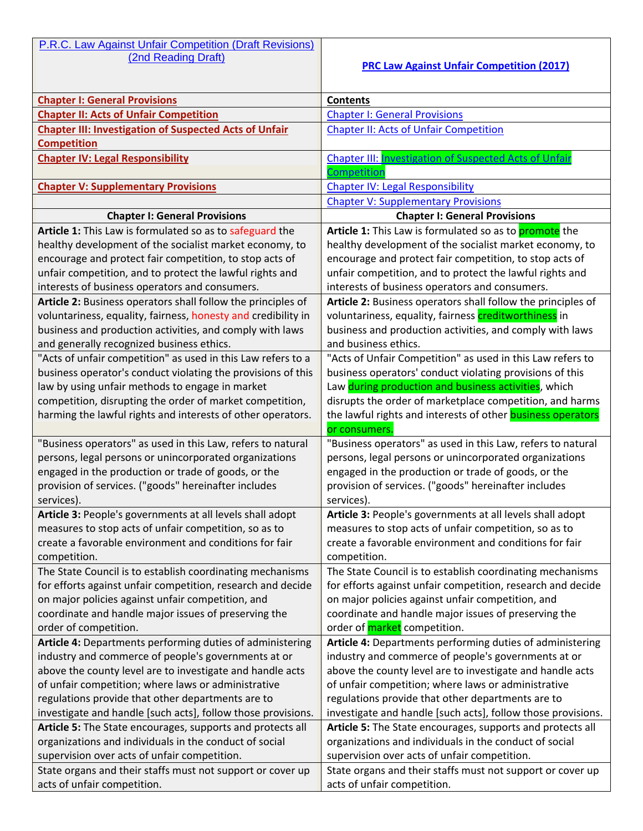P.R.C. Law Against Unfair Competition (Draft Revisions)

## **PRC Law Against Unfair Competition (2017)**

| <b>Chapter I: General Provisions</b>                                                                                       | <b>Contents</b>                                                                                                  |
|----------------------------------------------------------------------------------------------------------------------------|------------------------------------------------------------------------------------------------------------------|
| <b>Chapter II: Acts of Unfair Competition</b>                                                                              | <b>Chapter I: General Provisions</b>                                                                             |
| <b>Chapter III: Investigation of Suspected Acts of Unfair</b>                                                              | <b>Chapter II: Acts of Unfair Competition</b>                                                                    |
| <b>Competition</b>                                                                                                         |                                                                                                                  |
| <b>Chapter IV: Legal Responsibility</b>                                                                                    | <b>Chapter III: Investigation of Suspected Acts of Unfair</b>                                                    |
|                                                                                                                            | Competition                                                                                                      |
| <b>Chapter V: Supplementary Provisions</b>                                                                                 | <b>Chapter IV: Legal Responsibility</b>                                                                          |
|                                                                                                                            | <b>Chapter V: Supplementary Provisions</b>                                                                       |
| <b>Chapter I: General Provisions</b>                                                                                       | <b>Chapter I: General Provisions</b>                                                                             |
| Article 1: This Law is formulated so as to safeguard the                                                                   | Article 1: This Law is formulated so as to <b>promote</b> the                                                    |
| healthy development of the socialist market economy, to                                                                    | healthy development of the socialist market economy, to                                                          |
| encourage and protect fair competition, to stop acts of                                                                    | encourage and protect fair competition, to stop acts of                                                          |
| unfair competition, and to protect the lawful rights and                                                                   | unfair competition, and to protect the lawful rights and                                                         |
| interests of business operators and consumers.                                                                             | interests of business operators and consumers.                                                                   |
| Article 2: Business operators shall follow the principles of                                                               | Article 2: Business operators shall follow the principles of                                                     |
| voluntariness, equality, fairness, honesty and credibility in                                                              | voluntariness, equality, fairness creditworthiness in                                                            |
| business and production activities, and comply with laws                                                                   | business and production activities, and comply with laws                                                         |
| and generally recognized business ethics.                                                                                  | and business ethics.                                                                                             |
| "Acts of unfair competition" as used in this Law refers to a                                                               | "Acts of Unfair Competition" as used in this Law refers to                                                       |
| business operator's conduct violating the provisions of this                                                               | business operators' conduct violating provisions of this                                                         |
| law by using unfair methods to engage in market                                                                            | Law during production and business activities, which                                                             |
| competition, disrupting the order of market competition,                                                                   | disrupts the order of marketplace competition, and harms                                                         |
| harming the lawful rights and interests of other operators.                                                                | the lawful rights and interests of other business operators                                                      |
|                                                                                                                            | or consumers.                                                                                                    |
| "Business operators" as used in this Law, refers to natural                                                                | "Business operators" as used in this Law, refers to natural                                                      |
| persons, legal persons or unincorporated organizations                                                                     | persons, legal persons or unincorporated organizations                                                           |
| engaged in the production or trade of goods, or the                                                                        | engaged in the production or trade of goods, or the                                                              |
| provision of services. ("goods" hereinafter includes                                                                       | provision of services. ("goods" hereinafter includes                                                             |
| services).                                                                                                                 | services).                                                                                                       |
| Article 3: People's governments at all levels shall adopt                                                                  | Article 3: People's governments at all levels shall adopt                                                        |
| measures to stop acts of unfair competition, so as to                                                                      | measures to stop acts of unfair competition, so as to                                                            |
| create a favorable environment and conditions for fair                                                                     | create a favorable environment and conditions for fair                                                           |
| competition.                                                                                                               | competition.                                                                                                     |
| The State Council is to establish coordinating mechanisms                                                                  | The State Council is to establish coordinating mechanisms                                                        |
| for efforts against unfair competition, research and decide                                                                | for efforts against unfair competition, research and decide                                                      |
| on major policies against unfair competition, and                                                                          | on major policies against unfair competition, and                                                                |
| coordinate and handle major issues of preserving the                                                                       | coordinate and handle major issues of preserving the<br>order of <b>market</b> competition.                      |
| order of competition.                                                                                                      |                                                                                                                  |
| Article 4: Departments performing duties of administering                                                                  | Article 4: Departments performing duties of administering                                                        |
| industry and commerce of people's governments at or                                                                        | industry and commerce of people's governments at or                                                              |
| above the county level are to investigate and handle acts                                                                  | above the county level are to investigate and handle acts<br>of unfair competition; where laws or administrative |
| of unfair competition; where laws or administrative<br>regulations provide that other departments are to                   | regulations provide that other departments are to                                                                |
|                                                                                                                            |                                                                                                                  |
| investigate and handle [such acts], follow those provisions.<br>Article 5: The State encourages, supports and protects all | investigate and handle [such acts], follow those provisions.                                                     |
|                                                                                                                            | Article 5: The State encourages, supports and protects all                                                       |
| organizations and individuals in the conduct of social                                                                     | organizations and individuals in the conduct of social<br>supervision over acts of unfair competition.           |
| supervision over acts of unfair competition.                                                                               |                                                                                                                  |
| State organs and their staffs must not support or cover up                                                                 | State organs and their staffs must not support or cover up                                                       |
| acts of unfair competition.                                                                                                | acts of unfair competition.                                                                                      |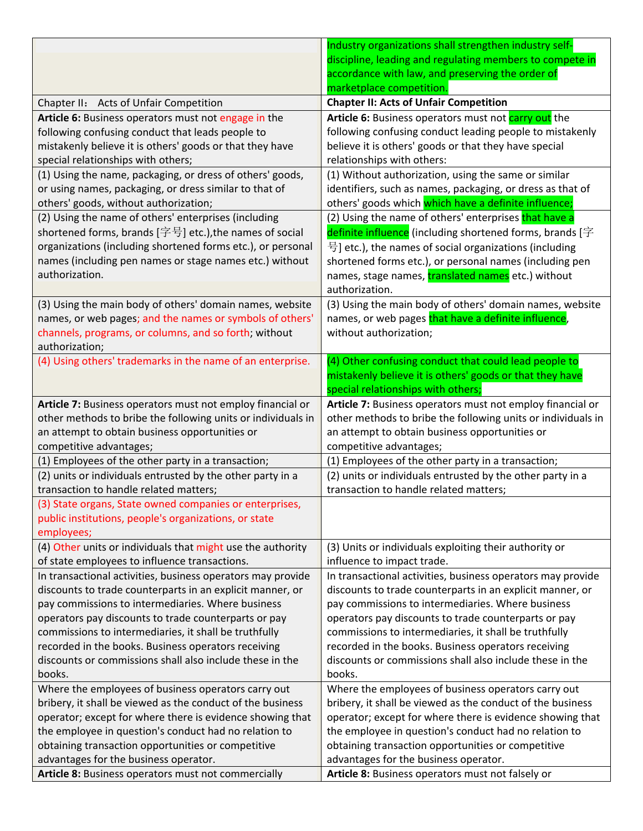|                                                              | Industry organizations shall strengthen industry self-       |
|--------------------------------------------------------------|--------------------------------------------------------------|
|                                                              | discipline, leading and regulating members to compete in     |
|                                                              | accordance with law, and preserving the order of             |
|                                                              | marketplace competition.                                     |
| Chapter II: Acts of Unfair Competition                       | <b>Chapter II: Acts of Unfair Competition</b>                |
| Article 6: Business operators must not engage in the         | Article 6: Business operators must not carry out the         |
| following confusing conduct that leads people to             | following confusing conduct leading people to mistakenly     |
| mistakenly believe it is others' goods or that they have     | believe it is others' goods or that they have special        |
| special relationships with others;                           | relationships with others:                                   |
| (1) Using the name, packaging, or dress of others' goods,    | (1) Without authorization, using the same or similar         |
| or using names, packaging, or dress similar to that of       | identifiers, such as names, packaging, or dress as that of   |
| others' goods, without authorization;                        | others' goods which which have a definite influence;         |
| (2) Using the name of others' enterprises (including         | (2) Using the name of others' enterprises that have a        |
| shortened forms, brands $[$ 字号] etc.), the names of social   | definite influence (including shortened forms, brands [字     |
| organizations (including shortened forms etc.), or personal  | 号] etc.), the names of social organizations (including       |
| names (including pen names or stage names etc.) without      | shortened forms etc.), or personal names (including pen      |
| authorization.                                               | names, stage names, translated names etc.) without           |
|                                                              | authorization.                                               |
| (3) Using the main body of others' domain names, website     | (3) Using the main body of others' domain names, website     |
| names, or web pages; and the names or symbols of others'     | names, or web pages that have a definite influence,          |
| channels, programs, or columns, and so forth; without        | without authorization;                                       |
| authorization;                                               |                                                              |
| (4) Using others' trademarks in the name of an enterprise.   | (4) Other confusing conduct that could lead people to        |
|                                                              | mistakenly believe it is others' goods or that they have     |
|                                                              | special relationships with others;                           |
| Article 7: Business operators must not employ financial or   | Article 7: Business operators must not employ financial or   |
| other methods to bribe the following units or individuals in | other methods to bribe the following units or individuals in |
| an attempt to obtain business opportunities or               | an attempt to obtain business opportunities or               |
| competitive advantages;                                      | competitive advantages;                                      |
| (1) Employees of the other party in a transaction;           | (1) Employees of the other party in a transaction;           |
| (2) units or individuals entrusted by the other party in a   | (2) units or individuals entrusted by the other party in a   |
| transaction to handle related matters;                       | transaction to handle related matters;                       |
| (3) State organs, State owned companies or enterprises,      |                                                              |
| public institutions, people's organizations, or state        |                                                              |
| employees;                                                   |                                                              |
| (4) Other units or individuals that might use the authority  | (3) Units or individuals exploiting their authority or       |
| of state employees to influence transactions.                | influence to impact trade.                                   |
| In transactional activities, business operators may provide  | In transactional activities, business operators may provide  |
| discounts to trade counterparts in an explicit manner, or    | discounts to trade counterparts in an explicit manner, or    |
| pay commissions to intermediaries. Where business            | pay commissions to intermediaries. Where business            |
| operators pay discounts to trade counterparts or pay         | operators pay discounts to trade counterparts or pay         |
| commissions to intermediaries, it shall be truthfully        | commissions to intermediaries, it shall be truthfully        |
| recorded in the books. Business operators receiving          | recorded in the books. Business operators receiving          |
| discounts or commissions shall also include these in the     | discounts or commissions shall also include these in the     |
| books.                                                       | books.                                                       |
| Where the employees of business operators carry out          | Where the employees of business operators carry out          |
| bribery, it shall be viewed as the conduct of the business   | bribery, it shall be viewed as the conduct of the business   |
| operator; except for where there is evidence showing that    | operator; except for where there is evidence showing that    |
| the employee in question's conduct had no relation to        | the employee in question's conduct had no relation to        |
| obtaining transaction opportunities or competitive           | obtaining transaction opportunities or competitive           |
| advantages for the business operator.                        | advantages for the business operator.                        |
| Article 8: Business operators must not commercially          | Article 8: Business operators must not falsely or            |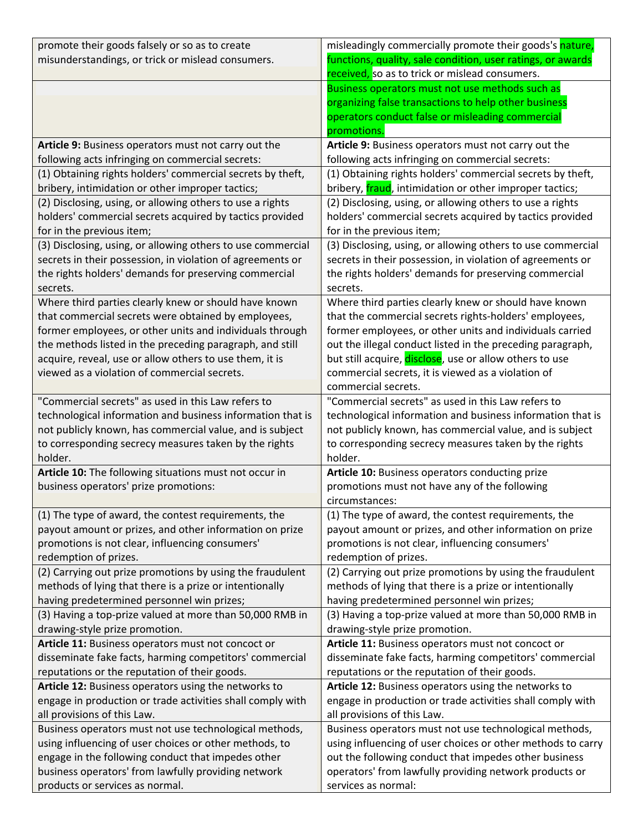| promote their goods falsely or so as to create              | misleadingly commercially promote their goods's nature,         |
|-------------------------------------------------------------|-----------------------------------------------------------------|
| misunderstandings, or trick or mislead consumers.           | functions, quality, sale condition, user ratings, or awards     |
|                                                             | received, so as to trick or mislead consumers.                  |
|                                                             | Business operators must not use methods such as                 |
|                                                             | organizing false transactions to help other business            |
|                                                             | operators conduct false or misleading commercial                |
|                                                             | promotions.                                                     |
| Article 9: Business operators must not carry out the        | Article 9: Business operators must not carry out the            |
| following acts infringing on commercial secrets:            | following acts infringing on commercial secrets:                |
| (1) Obtaining rights holders' commercial secrets by theft,  | (1) Obtaining rights holders' commercial secrets by theft,      |
| bribery, intimidation or other improper tactics;            | bribery, <i>fraud</i> , intimidation or other improper tactics; |
| (2) Disclosing, using, or allowing others to use a rights   | (2) Disclosing, using, or allowing others to use a rights       |
| holders' commercial secrets acquired by tactics provided    | holders' commercial secrets acquired by tactics provided        |
| for in the previous item;                                   | for in the previous item;                                       |
| (3) Disclosing, using, or allowing others to use commercial | (3) Disclosing, using, or allowing others to use commercial     |
| secrets in their possession, in violation of agreements or  | secrets in their possession, in violation of agreements or      |
| the rights holders' demands for preserving commercial       | the rights holders' demands for preserving commercial           |
| secrets.                                                    | secrets.                                                        |
| Where third parties clearly knew or should have known       | Where third parties clearly knew or should have known           |
| that commercial secrets were obtained by employees,         | that the commercial secrets rights-holders' employees,          |
| former employees, or other units and individuals through    | former employees, or other units and individuals carried        |
| the methods listed in the preceding paragraph, and still    | out the illegal conduct listed in the preceding paragraph,      |
| acquire, reveal, use or allow others to use them, it is     | but still acquire, disclose, use or allow others to use         |
| viewed as a violation of commercial secrets.                | commercial secrets, it is viewed as a violation of              |
|                                                             | commercial secrets.                                             |
| "Commercial secrets" as used in this Law refers to          | "Commercial secrets" as used in this Law refers to              |
| technological information and business information that is  | technological information and business information that is      |
| not publicly known, has commercial value, and is subject    | not publicly known, has commercial value, and is subject        |
| to corresponding secrecy measures taken by the rights       | to corresponding secrecy measures taken by the rights           |
| holder.                                                     | holder.                                                         |
| Article 10: The following situations must not occur in      | Article 10: Business operators conducting prize                 |
| business operators' prize promotions:                       | promotions must not have any of the following                   |
|                                                             | circumstances:                                                  |
| (1) The type of award, the contest requirements, the        | (1) The type of award, the contest requirements, the            |
| payout amount or prizes, and other information on prize     | payout amount or prizes, and other information on prize         |
| promotions is not clear, influencing consumers'             | promotions is not clear, influencing consumers'                 |
| redemption of prizes.                                       | redemption of prizes.                                           |
| (2) Carrying out prize promotions by using the fraudulent   | (2) Carrying out prize promotions by using the fraudulent       |
| methods of lying that there is a prize or intentionally     | methods of lying that there is a prize or intentionally         |
| having predetermined personnel win prizes;                  | having predetermined personnel win prizes;                      |
| (3) Having a top-prize valued at more than 50,000 RMB in    | (3) Having a top-prize valued at more than 50,000 RMB in        |
| drawing-style prize promotion.                              | drawing-style prize promotion.                                  |
| Article 11: Business operators must not concoct or          | Article 11: Business operators must not concoct or              |
| disseminate fake facts, harming competitors' commercial     | disseminate fake facts, harming competitors' commercial         |
| reputations or the reputation of their goods.               | reputations or the reputation of their goods.                   |
| Article 12: Business operators using the networks to        | Article 12: Business operators using the networks to            |
| engage in production or trade activities shall comply with  | engage in production or trade activities shall comply with      |
| all provisions of this Law.                                 | all provisions of this Law.                                     |
| Business operators must not use technological methods,      | Business operators must not use technological methods,          |
| using influencing of user choices or other methods, to      | using influencing of user choices or other methods to carry     |
| engage in the following conduct that impedes other          | out the following conduct that impedes other business           |
| business operators' from lawfully providing network         | operators' from lawfully providing network products or          |
| products or services as normal.                             | services as normal:                                             |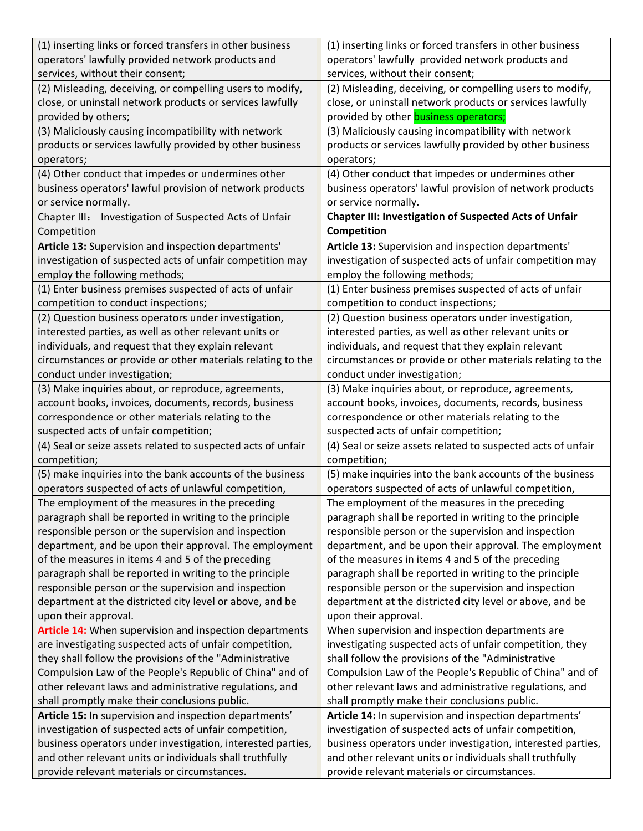| (1) inserting links or forced transfers in other business    | (1) inserting links or forced transfers in other business     |
|--------------------------------------------------------------|---------------------------------------------------------------|
| operators' lawfully provided network products and            | operators' lawfully provided network products and             |
| services, without their consent;                             | services, without their consent;                              |
| (2) Misleading, deceiving, or compelling users to modify,    | (2) Misleading, deceiving, or compelling users to modify,     |
| close, or uninstall network products or services lawfully    | close, or uninstall network products or services lawfully     |
| provided by others;                                          | provided by other <b>business operators;</b>                  |
| (3) Maliciously causing incompatibility with network         | (3) Maliciously causing incompatibility with network          |
| products or services lawfully provided by other business     | products or services lawfully provided by other business      |
| operators;                                                   | operators;                                                    |
| (4) Other conduct that impedes or undermines other           | (4) Other conduct that impedes or undermines other            |
| business operators' lawful provision of network products     | business operators' lawful provision of network products      |
| or service normally.                                         | or service normally.                                          |
| Chapter III: Investigation of Suspected Acts of Unfair       | <b>Chapter III: Investigation of Suspected Acts of Unfair</b> |
| Competition                                                  | Competition                                                   |
| Article 13: Supervision and inspection departments'          | Article 13: Supervision and inspection departments'           |
| investigation of suspected acts of unfair competition may    | investigation of suspected acts of unfair competition may     |
| employ the following methods;                                | employ the following methods;                                 |
| (1) Enter business premises suspected of acts of unfair      | (1) Enter business premises suspected of acts of unfair       |
| competition to conduct inspections;                          | competition to conduct inspections;                           |
| (2) Question business operators under investigation,         | (2) Question business operators under investigation,          |
| interested parties, as well as other relevant units or       | interested parties, as well as other relevant units or        |
| individuals, and request that they explain relevant          | individuals, and request that they explain relevant           |
| circumstances or provide or other materials relating to the  | circumstances or provide or other materials relating to the   |
| conduct under investigation;                                 | conduct under investigation;                                  |
| (3) Make inquiries about, or reproduce, agreements,          | (3) Make inquiries about, or reproduce, agreements,           |
| account books, invoices, documents, records, business        | account books, invoices, documents, records, business         |
| correspondence or other materials relating to the            | correspondence or other materials relating to the             |
| suspected acts of unfair competition;                        | suspected acts of unfair competition;                         |
| (4) Seal or seize assets related to suspected acts of unfair | (4) Seal or seize assets related to suspected acts of unfair  |
| competition;                                                 | competition;                                                  |
| (5) make inquiries into the bank accounts of the business    | (5) make inquiries into the bank accounts of the business     |
| operators suspected of acts of unlawful competition,         | operators suspected of acts of unlawful competition,          |
| The employment of the measures in the preceding              | The employment of the measures in the preceding               |
| paragraph shall be reported in writing to the principle      | paragraph shall be reported in writing to the principle       |
| responsible person or the supervision and inspection         | responsible person or the supervision and inspection          |
| department, and be upon their approval. The employment       | department, and be upon their approval. The employment        |
| of the measures in items 4 and 5 of the preceding            | of the measures in items 4 and 5 of the preceding             |
| paragraph shall be reported in writing to the principle      | paragraph shall be reported in writing to the principle       |
| responsible person or the supervision and inspection         | responsible person or the supervision and inspection          |
| department at the districted city level or above, and be     | department at the districted city level or above, and be      |
| upon their approval.                                         | upon their approval.                                          |
| Article 14: When supervision and inspection departments      | When supervision and inspection departments are               |
| are investigating suspected acts of unfair competition,      | investigating suspected acts of unfair competition, they      |
| they shall follow the provisions of the "Administrative      | shall follow the provisions of the "Administrative            |
| Compulsion Law of the People's Republic of China" and of     | Compulsion Law of the People's Republic of China" and of      |
| other relevant laws and administrative regulations, and      | other relevant laws and administrative regulations, and       |
| shall promptly make their conclusions public.                | shall promptly make their conclusions public.                 |
| Article 15: In supervision and inspection departments'       | Article 14: In supervision and inspection departments'        |
| investigation of suspected acts of unfair competition,       | investigation of suspected acts of unfair competition,        |
| business operators under investigation, interested parties,  | business operators under investigation, interested parties,   |
| and other relevant units or individuals shall truthfully     | and other relevant units or individuals shall truthfully      |
| provide relevant materials or circumstances.                 | provide relevant materials or circumstances.                  |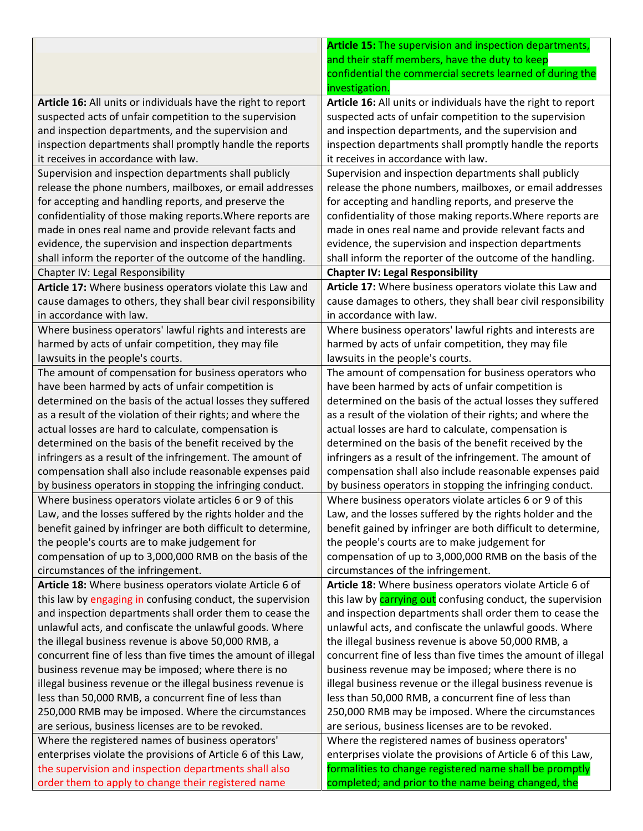|                                                               | Article 15: The supervision and inspection departments,            |
|---------------------------------------------------------------|--------------------------------------------------------------------|
|                                                               | and their staff members, have the duty to keep                     |
|                                                               | confidential the commercial secrets learned of during the          |
|                                                               | investigation.                                                     |
| Article 16: All units or individuals have the right to report | Article 16: All units or individuals have the right to report      |
| suspected acts of unfair competition to the supervision       | suspected acts of unfair competition to the supervision            |
| and inspection departments, and the supervision and           | and inspection departments, and the supervision and                |
| inspection departments shall promptly handle the reports      | inspection departments shall promptly handle the reports           |
| it receives in accordance with law.                           | it receives in accordance with law.                                |
| Supervision and inspection departments shall publicly         | Supervision and inspection departments shall publicly              |
| release the phone numbers, mailboxes, or email addresses      | release the phone numbers, mailboxes, or email addresses           |
| for accepting and handling reports, and preserve the          | for accepting and handling reports, and preserve the               |
| confidentiality of those making reports. Where reports are    | confidentiality of those making reports. Where reports are         |
| made in ones real name and provide relevant facts and         | made in ones real name and provide relevant facts and              |
| evidence, the supervision and inspection departments          | evidence, the supervision and inspection departments               |
| shall inform the reporter of the outcome of the handling.     | shall inform the reporter of the outcome of the handling.          |
| Chapter IV: Legal Responsibility                              | <b>Chapter IV: Legal Responsibility</b>                            |
| Article 17: Where business operators violate this Law and     | Article 17: Where business operators violate this Law and          |
| cause damages to others, they shall bear civil responsibility | cause damages to others, they shall bear civil responsibility      |
| in accordance with law.                                       | in accordance with law.                                            |
| Where business operators' lawful rights and interests are     | Where business operators' lawful rights and interests are          |
| harmed by acts of unfair competition, they may file           | harmed by acts of unfair competition, they may file                |
| lawsuits in the people's courts.                              | lawsuits in the people's courts.                                   |
| The amount of compensation for business operators who         | The amount of compensation for business operators who              |
| have been harmed by acts of unfair competition is             | have been harmed by acts of unfair competition is                  |
| determined on the basis of the actual losses they suffered    | determined on the basis of the actual losses they suffered         |
| as a result of the violation of their rights; and where the   | as a result of the violation of their rights; and where the        |
| actual losses are hard to calculate, compensation is          | actual losses are hard to calculate, compensation is               |
| determined on the basis of the benefit received by the        | determined on the basis of the benefit received by the             |
| infringers as a result of the infringement. The amount of     | infringers as a result of the infringement. The amount of          |
| compensation shall also include reasonable expenses paid      | compensation shall also include reasonable expenses paid           |
| by business operators in stopping the infringing conduct.     | by business operators in stopping the infringing conduct.          |
| Where business operators violate articles 6 or 9 of this      | Where business operators violate articles 6 or 9 of this           |
| Law, and the losses suffered by the rights holder and the     | Law, and the losses suffered by the rights holder and the          |
| benefit gained by infringer are both difficult to determine,  | benefit gained by infringer are both difficult to determine,       |
| the people's courts are to make judgement for                 | the people's courts are to make judgement for                      |
| compensation of up to 3,000,000 RMB on the basis of the       | compensation of up to 3,000,000 RMB on the basis of the            |
| circumstances of the infringement.                            | circumstances of the infringement.                                 |
| Article 18: Where business operators violate Article 6 of     | Article 18: Where business operators violate Article 6 of          |
| this law by engaging in confusing conduct, the supervision    | this law by <b>carrying out</b> confusing conduct, the supervision |
| and inspection departments shall order them to cease the      | and inspection departments shall order them to cease the           |
| unlawful acts, and confiscate the unlawful goods. Where       | unlawful acts, and confiscate the unlawful goods. Where            |
| the illegal business revenue is above 50,000 RMB, a           | the illegal business revenue is above 50,000 RMB, a                |
| concurrent fine of less than five times the amount of illegal | concurrent fine of less than five times the amount of illegal      |
| business revenue may be imposed; where there is no            | business revenue may be imposed; where there is no                 |
| illegal business revenue or the illegal business revenue is   | illegal business revenue or the illegal business revenue is        |
| less than 50,000 RMB, a concurrent fine of less than          | less than 50,000 RMB, a concurrent fine of less than               |
| 250,000 RMB may be imposed. Where the circumstances           | 250,000 RMB may be imposed. Where the circumstances                |
| are serious, business licenses are to be revoked.             | are serious, business licenses are to be revoked.                  |
| Where the registered names of business operators'             | Where the registered names of business operators'                  |
| enterprises violate the provisions of Article 6 of this Law,  | enterprises violate the provisions of Article 6 of this Law,       |
| the supervision and inspection departments shall also         | formalities to change registered name shall be promptly            |
| order them to apply to change their registered name           | completed; and prior to the name being changed, the                |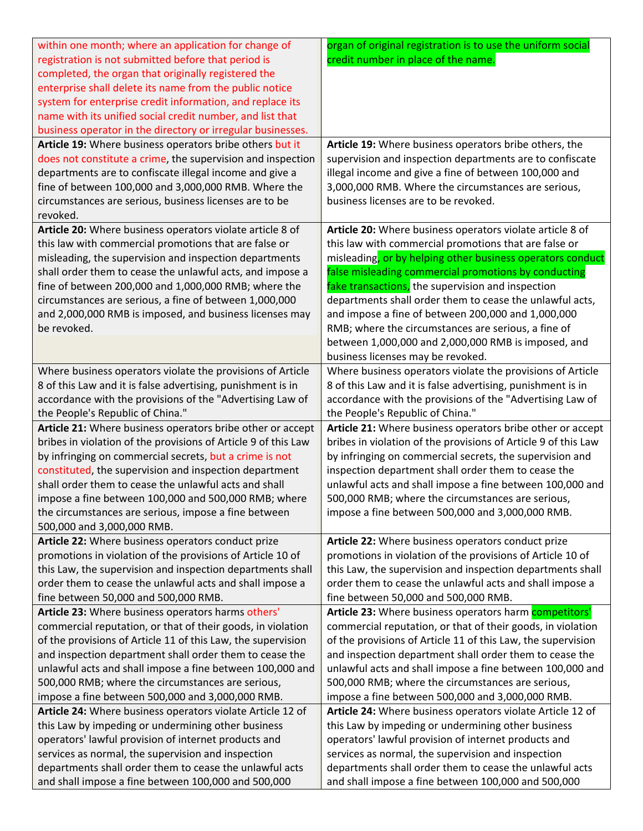| credit number in place of the name.<br>registration is not submitted before that period is<br>completed, the organ that originally registered the<br>enterprise shall delete its name from the public notice<br>system for enterprise credit information, and replace its<br>name with its unified social credit number, and list that<br>business operator in the directory or irregular businesses.<br>Article 19: Where business operators bribe others but it<br>Article 19: Where business operators bribe others, the<br>does not constitute a crime, the supervision and inspection<br>supervision and inspection departments are to confiscate<br>departments are to confiscate illegal income and give a<br>illegal income and give a fine of between 100,000 and<br>fine of between 100,000 and 3,000,000 RMB. Where the<br>3,000,000 RMB. Where the circumstances are serious,<br>circumstances are serious, business licenses are to be<br>business licenses are to be revoked.<br>revoked.<br>Article 20: Where business operators violate article 8 of<br>Article 20: Where business operators violate article 8 of<br>this law with commercial promotions that are false or<br>this law with commercial promotions that are false or<br>misleading, or by helping other business operators conduct<br>misleading, the supervision and inspection departments<br>shall order them to cease the unlawful acts, and impose a<br>false misleading commercial promotions by conducting<br>fake transactions, the supervision and inspection<br>fine of between 200,000 and 1,000,000 RMB; where the<br>circumstances are serious, a fine of between 1,000,000<br>departments shall order them to cease the unlawful acts,<br>and 2,000,000 RMB is imposed, and business licenses may<br>and impose a fine of between 200,000 and 1,000,000<br>be revoked.<br>RMB; where the circumstances are serious, a fine of<br>between 1,000,000 and 2,000,000 RMB is imposed, and<br>business licenses may be revoked.<br>Where business operators violate the provisions of Article<br>Where business operators violate the provisions of Article<br>8 of this Law and it is false advertising, punishment is in<br>8 of this Law and it is false advertising, punishment is in<br>accordance with the provisions of the "Advertising Law of<br>accordance with the provisions of the "Advertising Law of<br>the People's Republic of China."<br>the People's Republic of China."<br>Article 21: Where business operators bribe other or accept<br>Article 21: Where business operators bribe other or accept<br>bribes in violation of the provisions of Article 9 of this Law<br>bribes in violation of the provisions of Article 9 of this Law<br>by infringing on commercial secrets, but a crime is not<br>by infringing on commercial secrets, the supervision and<br>constituted, the supervision and inspection department<br>inspection department shall order them to cease the<br>shall order them to cease the unlawful acts and shall<br>unlawful acts and shall impose a fine between 100,000 and<br>impose a fine between 100,000 and 500,000 RMB; where<br>500,000 RMB; where the circumstances are serious,<br>impose a fine between 500,000 and 3,000,000 RMB.<br>the circumstances are serious, impose a fine between<br>500,000 and 3,000,000 RMB.<br>Article 22: Where business operators conduct prize<br>Article 22: Where business operators conduct prize<br>promotions in violation of the provisions of Article 10 of<br>promotions in violation of the provisions of Article 10 of<br>this Law, the supervision and inspection departments shall<br>this Law, the supervision and inspection departments shall<br>order them to cease the unlawful acts and shall impose a<br>order them to cease the unlawful acts and shall impose a<br>fine between 50,000 and 500,000 RMB.<br>fine between 50,000 and 500,000 RMB.<br>Article 23: Where business operators harm competitors'<br>Article 23: Where business operators harms others'<br>commercial reputation, or that of their goods, in violation<br>commercial reputation, or that of their goods, in violation<br>of the provisions of Article 11 of this Law, the supervision<br>of the provisions of Article 11 of this Law, the supervision<br>and inspection department shall order them to cease the<br>and inspection department shall order them to cease the<br>unlawful acts and shall impose a fine between 100,000 and<br>unlawful acts and shall impose a fine between 100,000 and<br>500,000 RMB; where the circumstances are serious,<br>500,000 RMB; where the circumstances are serious,<br>impose a fine between 500,000 and 3,000,000 RMB.<br>impose a fine between 500,000 and 3,000,000 RMB.<br>Article 24: Where business operators violate Article 12 of<br>Article 24: Where business operators violate Article 12 of<br>this Law by impeding or undermining other business<br>this Law by impeding or undermining other business | within one month; where an application for change of | organ of original registration is to use the uniform social |
|---------------------------------------------------------------------------------------------------------------------------------------------------------------------------------------------------------------------------------------------------------------------------------------------------------------------------------------------------------------------------------------------------------------------------------------------------------------------------------------------------------------------------------------------------------------------------------------------------------------------------------------------------------------------------------------------------------------------------------------------------------------------------------------------------------------------------------------------------------------------------------------------------------------------------------------------------------------------------------------------------------------------------------------------------------------------------------------------------------------------------------------------------------------------------------------------------------------------------------------------------------------------------------------------------------------------------------------------------------------------------------------------------------------------------------------------------------------------------------------------------------------------------------------------------------------------------------------------------------------------------------------------------------------------------------------------------------------------------------------------------------------------------------------------------------------------------------------------------------------------------------------------------------------------------------------------------------------------------------------------------------------------------------------------------------------------------------------------------------------------------------------------------------------------------------------------------------------------------------------------------------------------------------------------------------------------------------------------------------------------------------------------------------------------------------------------------------------------------------------------------------------------------------------------------------------------------------------------------------------------------------------------------------------------------------------------------------------------------------------------------------------------------------------------------------------------------------------------------------------------------------------------------------------------------------------------------------------------------------------------------------------------------------------------------------------------------------------------------------------------------------------------------------------------------------------------------------------------------------------------------------------------------------------------------------------------------------------------------------------------------------------------------------------------------------------------------------------------------------------------------------------------------------------------------------------------------------------------------------------------------------------------------------------------------------------------------------------------------------------------------------------------------------------------------------------------------------------------------------------------------------------------------------------------------------------------------------------------------------------------------------------------------------------------------------------------------------------------------------------------------------------------------------------------------------------------------------------------------------------------------------------------------------------------------------------------------------------------------------------------------------------------------------------------------------------------------------------------------------------------------------------------------------------------------------------------------------------------------------------------------------------------------------------------------------------------------------------------------------------------------------------------------------------------------------------------------------------------------------------------------------------------------------------------------------------------------------------------------------------------------------------------------------------------|------------------------------------------------------|-------------------------------------------------------------|
|                                                                                                                                                                                                                                                                                                                                                                                                                                                                                                                                                                                                                                                                                                                                                                                                                                                                                                                                                                                                                                                                                                                                                                                                                                                                                                                                                                                                                                                                                                                                                                                                                                                                                                                                                                                                                                                                                                                                                                                                                                                                                                                                                                                                                                                                                                                                                                                                                                                                                                                                                                                                                                                                                                                                                                                                                                                                                                                                                                                                                                                                                                                                                                                                                                                                                                                                                                                                                                                                                                                                                                                                                                                                                                                                                                                                                                                                                                                                                                                                                                                                                                                                                                                                                                                                                                                                                                                                                                                                                                                                                                                                                                                                                                                                                                                                                                                                                                                                                                                                                                             |                                                      |                                                             |
|                                                                                                                                                                                                                                                                                                                                                                                                                                                                                                                                                                                                                                                                                                                                                                                                                                                                                                                                                                                                                                                                                                                                                                                                                                                                                                                                                                                                                                                                                                                                                                                                                                                                                                                                                                                                                                                                                                                                                                                                                                                                                                                                                                                                                                                                                                                                                                                                                                                                                                                                                                                                                                                                                                                                                                                                                                                                                                                                                                                                                                                                                                                                                                                                                                                                                                                                                                                                                                                                                                                                                                                                                                                                                                                                                                                                                                                                                                                                                                                                                                                                                                                                                                                                                                                                                                                                                                                                                                                                                                                                                                                                                                                                                                                                                                                                                                                                                                                                                                                                                                             |                                                      |                                                             |
|                                                                                                                                                                                                                                                                                                                                                                                                                                                                                                                                                                                                                                                                                                                                                                                                                                                                                                                                                                                                                                                                                                                                                                                                                                                                                                                                                                                                                                                                                                                                                                                                                                                                                                                                                                                                                                                                                                                                                                                                                                                                                                                                                                                                                                                                                                                                                                                                                                                                                                                                                                                                                                                                                                                                                                                                                                                                                                                                                                                                                                                                                                                                                                                                                                                                                                                                                                                                                                                                                                                                                                                                                                                                                                                                                                                                                                                                                                                                                                                                                                                                                                                                                                                                                                                                                                                                                                                                                                                                                                                                                                                                                                                                                                                                                                                                                                                                                                                                                                                                                                             |                                                      |                                                             |
|                                                                                                                                                                                                                                                                                                                                                                                                                                                                                                                                                                                                                                                                                                                                                                                                                                                                                                                                                                                                                                                                                                                                                                                                                                                                                                                                                                                                                                                                                                                                                                                                                                                                                                                                                                                                                                                                                                                                                                                                                                                                                                                                                                                                                                                                                                                                                                                                                                                                                                                                                                                                                                                                                                                                                                                                                                                                                                                                                                                                                                                                                                                                                                                                                                                                                                                                                                                                                                                                                                                                                                                                                                                                                                                                                                                                                                                                                                                                                                                                                                                                                                                                                                                                                                                                                                                                                                                                                                                                                                                                                                                                                                                                                                                                                                                                                                                                                                                                                                                                                                             |                                                      |                                                             |
|                                                                                                                                                                                                                                                                                                                                                                                                                                                                                                                                                                                                                                                                                                                                                                                                                                                                                                                                                                                                                                                                                                                                                                                                                                                                                                                                                                                                                                                                                                                                                                                                                                                                                                                                                                                                                                                                                                                                                                                                                                                                                                                                                                                                                                                                                                                                                                                                                                                                                                                                                                                                                                                                                                                                                                                                                                                                                                                                                                                                                                                                                                                                                                                                                                                                                                                                                                                                                                                                                                                                                                                                                                                                                                                                                                                                                                                                                                                                                                                                                                                                                                                                                                                                                                                                                                                                                                                                                                                                                                                                                                                                                                                                                                                                                                                                                                                                                                                                                                                                                                             |                                                      |                                                             |
|                                                                                                                                                                                                                                                                                                                                                                                                                                                                                                                                                                                                                                                                                                                                                                                                                                                                                                                                                                                                                                                                                                                                                                                                                                                                                                                                                                                                                                                                                                                                                                                                                                                                                                                                                                                                                                                                                                                                                                                                                                                                                                                                                                                                                                                                                                                                                                                                                                                                                                                                                                                                                                                                                                                                                                                                                                                                                                                                                                                                                                                                                                                                                                                                                                                                                                                                                                                                                                                                                                                                                                                                                                                                                                                                                                                                                                                                                                                                                                                                                                                                                                                                                                                                                                                                                                                                                                                                                                                                                                                                                                                                                                                                                                                                                                                                                                                                                                                                                                                                                                             |                                                      |                                                             |
|                                                                                                                                                                                                                                                                                                                                                                                                                                                                                                                                                                                                                                                                                                                                                                                                                                                                                                                                                                                                                                                                                                                                                                                                                                                                                                                                                                                                                                                                                                                                                                                                                                                                                                                                                                                                                                                                                                                                                                                                                                                                                                                                                                                                                                                                                                                                                                                                                                                                                                                                                                                                                                                                                                                                                                                                                                                                                                                                                                                                                                                                                                                                                                                                                                                                                                                                                                                                                                                                                                                                                                                                                                                                                                                                                                                                                                                                                                                                                                                                                                                                                                                                                                                                                                                                                                                                                                                                                                                                                                                                                                                                                                                                                                                                                                                                                                                                                                                                                                                                                                             |                                                      |                                                             |
|                                                                                                                                                                                                                                                                                                                                                                                                                                                                                                                                                                                                                                                                                                                                                                                                                                                                                                                                                                                                                                                                                                                                                                                                                                                                                                                                                                                                                                                                                                                                                                                                                                                                                                                                                                                                                                                                                                                                                                                                                                                                                                                                                                                                                                                                                                                                                                                                                                                                                                                                                                                                                                                                                                                                                                                                                                                                                                                                                                                                                                                                                                                                                                                                                                                                                                                                                                                                                                                                                                                                                                                                                                                                                                                                                                                                                                                                                                                                                                                                                                                                                                                                                                                                                                                                                                                                                                                                                                                                                                                                                                                                                                                                                                                                                                                                                                                                                                                                                                                                                                             |                                                      |                                                             |
|                                                                                                                                                                                                                                                                                                                                                                                                                                                                                                                                                                                                                                                                                                                                                                                                                                                                                                                                                                                                                                                                                                                                                                                                                                                                                                                                                                                                                                                                                                                                                                                                                                                                                                                                                                                                                                                                                                                                                                                                                                                                                                                                                                                                                                                                                                                                                                                                                                                                                                                                                                                                                                                                                                                                                                                                                                                                                                                                                                                                                                                                                                                                                                                                                                                                                                                                                                                                                                                                                                                                                                                                                                                                                                                                                                                                                                                                                                                                                                                                                                                                                                                                                                                                                                                                                                                                                                                                                                                                                                                                                                                                                                                                                                                                                                                                                                                                                                                                                                                                                                             |                                                      |                                                             |
|                                                                                                                                                                                                                                                                                                                                                                                                                                                                                                                                                                                                                                                                                                                                                                                                                                                                                                                                                                                                                                                                                                                                                                                                                                                                                                                                                                                                                                                                                                                                                                                                                                                                                                                                                                                                                                                                                                                                                                                                                                                                                                                                                                                                                                                                                                                                                                                                                                                                                                                                                                                                                                                                                                                                                                                                                                                                                                                                                                                                                                                                                                                                                                                                                                                                                                                                                                                                                                                                                                                                                                                                                                                                                                                                                                                                                                                                                                                                                                                                                                                                                                                                                                                                                                                                                                                                                                                                                                                                                                                                                                                                                                                                                                                                                                                                                                                                                                                                                                                                                                             |                                                      |                                                             |
|                                                                                                                                                                                                                                                                                                                                                                                                                                                                                                                                                                                                                                                                                                                                                                                                                                                                                                                                                                                                                                                                                                                                                                                                                                                                                                                                                                                                                                                                                                                                                                                                                                                                                                                                                                                                                                                                                                                                                                                                                                                                                                                                                                                                                                                                                                                                                                                                                                                                                                                                                                                                                                                                                                                                                                                                                                                                                                                                                                                                                                                                                                                                                                                                                                                                                                                                                                                                                                                                                                                                                                                                                                                                                                                                                                                                                                                                                                                                                                                                                                                                                                                                                                                                                                                                                                                                                                                                                                                                                                                                                                                                                                                                                                                                                                                                                                                                                                                                                                                                                                             |                                                      |                                                             |
|                                                                                                                                                                                                                                                                                                                                                                                                                                                                                                                                                                                                                                                                                                                                                                                                                                                                                                                                                                                                                                                                                                                                                                                                                                                                                                                                                                                                                                                                                                                                                                                                                                                                                                                                                                                                                                                                                                                                                                                                                                                                                                                                                                                                                                                                                                                                                                                                                                                                                                                                                                                                                                                                                                                                                                                                                                                                                                                                                                                                                                                                                                                                                                                                                                                                                                                                                                                                                                                                                                                                                                                                                                                                                                                                                                                                                                                                                                                                                                                                                                                                                                                                                                                                                                                                                                                                                                                                                                                                                                                                                                                                                                                                                                                                                                                                                                                                                                                                                                                                                                             |                                                      |                                                             |
|                                                                                                                                                                                                                                                                                                                                                                                                                                                                                                                                                                                                                                                                                                                                                                                                                                                                                                                                                                                                                                                                                                                                                                                                                                                                                                                                                                                                                                                                                                                                                                                                                                                                                                                                                                                                                                                                                                                                                                                                                                                                                                                                                                                                                                                                                                                                                                                                                                                                                                                                                                                                                                                                                                                                                                                                                                                                                                                                                                                                                                                                                                                                                                                                                                                                                                                                                                                                                                                                                                                                                                                                                                                                                                                                                                                                                                                                                                                                                                                                                                                                                                                                                                                                                                                                                                                                                                                                                                                                                                                                                                                                                                                                                                                                                                                                                                                                                                                                                                                                                                             |                                                      |                                                             |
|                                                                                                                                                                                                                                                                                                                                                                                                                                                                                                                                                                                                                                                                                                                                                                                                                                                                                                                                                                                                                                                                                                                                                                                                                                                                                                                                                                                                                                                                                                                                                                                                                                                                                                                                                                                                                                                                                                                                                                                                                                                                                                                                                                                                                                                                                                                                                                                                                                                                                                                                                                                                                                                                                                                                                                                                                                                                                                                                                                                                                                                                                                                                                                                                                                                                                                                                                                                                                                                                                                                                                                                                                                                                                                                                                                                                                                                                                                                                                                                                                                                                                                                                                                                                                                                                                                                                                                                                                                                                                                                                                                                                                                                                                                                                                                                                                                                                                                                                                                                                                                             |                                                      |                                                             |
|                                                                                                                                                                                                                                                                                                                                                                                                                                                                                                                                                                                                                                                                                                                                                                                                                                                                                                                                                                                                                                                                                                                                                                                                                                                                                                                                                                                                                                                                                                                                                                                                                                                                                                                                                                                                                                                                                                                                                                                                                                                                                                                                                                                                                                                                                                                                                                                                                                                                                                                                                                                                                                                                                                                                                                                                                                                                                                                                                                                                                                                                                                                                                                                                                                                                                                                                                                                                                                                                                                                                                                                                                                                                                                                                                                                                                                                                                                                                                                                                                                                                                                                                                                                                                                                                                                                                                                                                                                                                                                                                                                                                                                                                                                                                                                                                                                                                                                                                                                                                                                             |                                                      |                                                             |
|                                                                                                                                                                                                                                                                                                                                                                                                                                                                                                                                                                                                                                                                                                                                                                                                                                                                                                                                                                                                                                                                                                                                                                                                                                                                                                                                                                                                                                                                                                                                                                                                                                                                                                                                                                                                                                                                                                                                                                                                                                                                                                                                                                                                                                                                                                                                                                                                                                                                                                                                                                                                                                                                                                                                                                                                                                                                                                                                                                                                                                                                                                                                                                                                                                                                                                                                                                                                                                                                                                                                                                                                                                                                                                                                                                                                                                                                                                                                                                                                                                                                                                                                                                                                                                                                                                                                                                                                                                                                                                                                                                                                                                                                                                                                                                                                                                                                                                                                                                                                                                             |                                                      |                                                             |
|                                                                                                                                                                                                                                                                                                                                                                                                                                                                                                                                                                                                                                                                                                                                                                                                                                                                                                                                                                                                                                                                                                                                                                                                                                                                                                                                                                                                                                                                                                                                                                                                                                                                                                                                                                                                                                                                                                                                                                                                                                                                                                                                                                                                                                                                                                                                                                                                                                                                                                                                                                                                                                                                                                                                                                                                                                                                                                                                                                                                                                                                                                                                                                                                                                                                                                                                                                                                                                                                                                                                                                                                                                                                                                                                                                                                                                                                                                                                                                                                                                                                                                                                                                                                                                                                                                                                                                                                                                                                                                                                                                                                                                                                                                                                                                                                                                                                                                                                                                                                                                             |                                                      |                                                             |
|                                                                                                                                                                                                                                                                                                                                                                                                                                                                                                                                                                                                                                                                                                                                                                                                                                                                                                                                                                                                                                                                                                                                                                                                                                                                                                                                                                                                                                                                                                                                                                                                                                                                                                                                                                                                                                                                                                                                                                                                                                                                                                                                                                                                                                                                                                                                                                                                                                                                                                                                                                                                                                                                                                                                                                                                                                                                                                                                                                                                                                                                                                                                                                                                                                                                                                                                                                                                                                                                                                                                                                                                                                                                                                                                                                                                                                                                                                                                                                                                                                                                                                                                                                                                                                                                                                                                                                                                                                                                                                                                                                                                                                                                                                                                                                                                                                                                                                                                                                                                                                             |                                                      |                                                             |
|                                                                                                                                                                                                                                                                                                                                                                                                                                                                                                                                                                                                                                                                                                                                                                                                                                                                                                                                                                                                                                                                                                                                                                                                                                                                                                                                                                                                                                                                                                                                                                                                                                                                                                                                                                                                                                                                                                                                                                                                                                                                                                                                                                                                                                                                                                                                                                                                                                                                                                                                                                                                                                                                                                                                                                                                                                                                                                                                                                                                                                                                                                                                                                                                                                                                                                                                                                                                                                                                                                                                                                                                                                                                                                                                                                                                                                                                                                                                                                                                                                                                                                                                                                                                                                                                                                                                                                                                                                                                                                                                                                                                                                                                                                                                                                                                                                                                                                                                                                                                                                             |                                                      |                                                             |
|                                                                                                                                                                                                                                                                                                                                                                                                                                                                                                                                                                                                                                                                                                                                                                                                                                                                                                                                                                                                                                                                                                                                                                                                                                                                                                                                                                                                                                                                                                                                                                                                                                                                                                                                                                                                                                                                                                                                                                                                                                                                                                                                                                                                                                                                                                                                                                                                                                                                                                                                                                                                                                                                                                                                                                                                                                                                                                                                                                                                                                                                                                                                                                                                                                                                                                                                                                                                                                                                                                                                                                                                                                                                                                                                                                                                                                                                                                                                                                                                                                                                                                                                                                                                                                                                                                                                                                                                                                                                                                                                                                                                                                                                                                                                                                                                                                                                                                                                                                                                                                             |                                                      |                                                             |
|                                                                                                                                                                                                                                                                                                                                                                                                                                                                                                                                                                                                                                                                                                                                                                                                                                                                                                                                                                                                                                                                                                                                                                                                                                                                                                                                                                                                                                                                                                                                                                                                                                                                                                                                                                                                                                                                                                                                                                                                                                                                                                                                                                                                                                                                                                                                                                                                                                                                                                                                                                                                                                                                                                                                                                                                                                                                                                                                                                                                                                                                                                                                                                                                                                                                                                                                                                                                                                                                                                                                                                                                                                                                                                                                                                                                                                                                                                                                                                                                                                                                                                                                                                                                                                                                                                                                                                                                                                                                                                                                                                                                                                                                                                                                                                                                                                                                                                                                                                                                                                             |                                                      |                                                             |
|                                                                                                                                                                                                                                                                                                                                                                                                                                                                                                                                                                                                                                                                                                                                                                                                                                                                                                                                                                                                                                                                                                                                                                                                                                                                                                                                                                                                                                                                                                                                                                                                                                                                                                                                                                                                                                                                                                                                                                                                                                                                                                                                                                                                                                                                                                                                                                                                                                                                                                                                                                                                                                                                                                                                                                                                                                                                                                                                                                                                                                                                                                                                                                                                                                                                                                                                                                                                                                                                                                                                                                                                                                                                                                                                                                                                                                                                                                                                                                                                                                                                                                                                                                                                                                                                                                                                                                                                                                                                                                                                                                                                                                                                                                                                                                                                                                                                                                                                                                                                                                             |                                                      |                                                             |
|                                                                                                                                                                                                                                                                                                                                                                                                                                                                                                                                                                                                                                                                                                                                                                                                                                                                                                                                                                                                                                                                                                                                                                                                                                                                                                                                                                                                                                                                                                                                                                                                                                                                                                                                                                                                                                                                                                                                                                                                                                                                                                                                                                                                                                                                                                                                                                                                                                                                                                                                                                                                                                                                                                                                                                                                                                                                                                                                                                                                                                                                                                                                                                                                                                                                                                                                                                                                                                                                                                                                                                                                                                                                                                                                                                                                                                                                                                                                                                                                                                                                                                                                                                                                                                                                                                                                                                                                                                                                                                                                                                                                                                                                                                                                                                                                                                                                                                                                                                                                                                             |                                                      |                                                             |
|                                                                                                                                                                                                                                                                                                                                                                                                                                                                                                                                                                                                                                                                                                                                                                                                                                                                                                                                                                                                                                                                                                                                                                                                                                                                                                                                                                                                                                                                                                                                                                                                                                                                                                                                                                                                                                                                                                                                                                                                                                                                                                                                                                                                                                                                                                                                                                                                                                                                                                                                                                                                                                                                                                                                                                                                                                                                                                                                                                                                                                                                                                                                                                                                                                                                                                                                                                                                                                                                                                                                                                                                                                                                                                                                                                                                                                                                                                                                                                                                                                                                                                                                                                                                                                                                                                                                                                                                                                                                                                                                                                                                                                                                                                                                                                                                                                                                                                                                                                                                                                             |                                                      |                                                             |
|                                                                                                                                                                                                                                                                                                                                                                                                                                                                                                                                                                                                                                                                                                                                                                                                                                                                                                                                                                                                                                                                                                                                                                                                                                                                                                                                                                                                                                                                                                                                                                                                                                                                                                                                                                                                                                                                                                                                                                                                                                                                                                                                                                                                                                                                                                                                                                                                                                                                                                                                                                                                                                                                                                                                                                                                                                                                                                                                                                                                                                                                                                                                                                                                                                                                                                                                                                                                                                                                                                                                                                                                                                                                                                                                                                                                                                                                                                                                                                                                                                                                                                                                                                                                                                                                                                                                                                                                                                                                                                                                                                                                                                                                                                                                                                                                                                                                                                                                                                                                                                             |                                                      |                                                             |
|                                                                                                                                                                                                                                                                                                                                                                                                                                                                                                                                                                                                                                                                                                                                                                                                                                                                                                                                                                                                                                                                                                                                                                                                                                                                                                                                                                                                                                                                                                                                                                                                                                                                                                                                                                                                                                                                                                                                                                                                                                                                                                                                                                                                                                                                                                                                                                                                                                                                                                                                                                                                                                                                                                                                                                                                                                                                                                                                                                                                                                                                                                                                                                                                                                                                                                                                                                                                                                                                                                                                                                                                                                                                                                                                                                                                                                                                                                                                                                                                                                                                                                                                                                                                                                                                                                                                                                                                                                                                                                                                                                                                                                                                                                                                                                                                                                                                                                                                                                                                                                             |                                                      |                                                             |
|                                                                                                                                                                                                                                                                                                                                                                                                                                                                                                                                                                                                                                                                                                                                                                                                                                                                                                                                                                                                                                                                                                                                                                                                                                                                                                                                                                                                                                                                                                                                                                                                                                                                                                                                                                                                                                                                                                                                                                                                                                                                                                                                                                                                                                                                                                                                                                                                                                                                                                                                                                                                                                                                                                                                                                                                                                                                                                                                                                                                                                                                                                                                                                                                                                                                                                                                                                                                                                                                                                                                                                                                                                                                                                                                                                                                                                                                                                                                                                                                                                                                                                                                                                                                                                                                                                                                                                                                                                                                                                                                                                                                                                                                                                                                                                                                                                                                                                                                                                                                                                             |                                                      |                                                             |
|                                                                                                                                                                                                                                                                                                                                                                                                                                                                                                                                                                                                                                                                                                                                                                                                                                                                                                                                                                                                                                                                                                                                                                                                                                                                                                                                                                                                                                                                                                                                                                                                                                                                                                                                                                                                                                                                                                                                                                                                                                                                                                                                                                                                                                                                                                                                                                                                                                                                                                                                                                                                                                                                                                                                                                                                                                                                                                                                                                                                                                                                                                                                                                                                                                                                                                                                                                                                                                                                                                                                                                                                                                                                                                                                                                                                                                                                                                                                                                                                                                                                                                                                                                                                                                                                                                                                                                                                                                                                                                                                                                                                                                                                                                                                                                                                                                                                                                                                                                                                                                             |                                                      |                                                             |
|                                                                                                                                                                                                                                                                                                                                                                                                                                                                                                                                                                                                                                                                                                                                                                                                                                                                                                                                                                                                                                                                                                                                                                                                                                                                                                                                                                                                                                                                                                                                                                                                                                                                                                                                                                                                                                                                                                                                                                                                                                                                                                                                                                                                                                                                                                                                                                                                                                                                                                                                                                                                                                                                                                                                                                                                                                                                                                                                                                                                                                                                                                                                                                                                                                                                                                                                                                                                                                                                                                                                                                                                                                                                                                                                                                                                                                                                                                                                                                                                                                                                                                                                                                                                                                                                                                                                                                                                                                                                                                                                                                                                                                                                                                                                                                                                                                                                                                                                                                                                                                             |                                                      |                                                             |
|                                                                                                                                                                                                                                                                                                                                                                                                                                                                                                                                                                                                                                                                                                                                                                                                                                                                                                                                                                                                                                                                                                                                                                                                                                                                                                                                                                                                                                                                                                                                                                                                                                                                                                                                                                                                                                                                                                                                                                                                                                                                                                                                                                                                                                                                                                                                                                                                                                                                                                                                                                                                                                                                                                                                                                                                                                                                                                                                                                                                                                                                                                                                                                                                                                                                                                                                                                                                                                                                                                                                                                                                                                                                                                                                                                                                                                                                                                                                                                                                                                                                                                                                                                                                                                                                                                                                                                                                                                                                                                                                                                                                                                                                                                                                                                                                                                                                                                                                                                                                                                             |                                                      |                                                             |
|                                                                                                                                                                                                                                                                                                                                                                                                                                                                                                                                                                                                                                                                                                                                                                                                                                                                                                                                                                                                                                                                                                                                                                                                                                                                                                                                                                                                                                                                                                                                                                                                                                                                                                                                                                                                                                                                                                                                                                                                                                                                                                                                                                                                                                                                                                                                                                                                                                                                                                                                                                                                                                                                                                                                                                                                                                                                                                                                                                                                                                                                                                                                                                                                                                                                                                                                                                                                                                                                                                                                                                                                                                                                                                                                                                                                                                                                                                                                                                                                                                                                                                                                                                                                                                                                                                                                                                                                                                                                                                                                                                                                                                                                                                                                                                                                                                                                                                                                                                                                                                             |                                                      |                                                             |
|                                                                                                                                                                                                                                                                                                                                                                                                                                                                                                                                                                                                                                                                                                                                                                                                                                                                                                                                                                                                                                                                                                                                                                                                                                                                                                                                                                                                                                                                                                                                                                                                                                                                                                                                                                                                                                                                                                                                                                                                                                                                                                                                                                                                                                                                                                                                                                                                                                                                                                                                                                                                                                                                                                                                                                                                                                                                                                                                                                                                                                                                                                                                                                                                                                                                                                                                                                                                                                                                                                                                                                                                                                                                                                                                                                                                                                                                                                                                                                                                                                                                                                                                                                                                                                                                                                                                                                                                                                                                                                                                                                                                                                                                                                                                                                                                                                                                                                                                                                                                                                             |                                                      |                                                             |
|                                                                                                                                                                                                                                                                                                                                                                                                                                                                                                                                                                                                                                                                                                                                                                                                                                                                                                                                                                                                                                                                                                                                                                                                                                                                                                                                                                                                                                                                                                                                                                                                                                                                                                                                                                                                                                                                                                                                                                                                                                                                                                                                                                                                                                                                                                                                                                                                                                                                                                                                                                                                                                                                                                                                                                                                                                                                                                                                                                                                                                                                                                                                                                                                                                                                                                                                                                                                                                                                                                                                                                                                                                                                                                                                                                                                                                                                                                                                                                                                                                                                                                                                                                                                                                                                                                                                                                                                                                                                                                                                                                                                                                                                                                                                                                                                                                                                                                                                                                                                                                             |                                                      |                                                             |
|                                                                                                                                                                                                                                                                                                                                                                                                                                                                                                                                                                                                                                                                                                                                                                                                                                                                                                                                                                                                                                                                                                                                                                                                                                                                                                                                                                                                                                                                                                                                                                                                                                                                                                                                                                                                                                                                                                                                                                                                                                                                                                                                                                                                                                                                                                                                                                                                                                                                                                                                                                                                                                                                                                                                                                                                                                                                                                                                                                                                                                                                                                                                                                                                                                                                                                                                                                                                                                                                                                                                                                                                                                                                                                                                                                                                                                                                                                                                                                                                                                                                                                                                                                                                                                                                                                                                                                                                                                                                                                                                                                                                                                                                                                                                                                                                                                                                                                                                                                                                                                             |                                                      |                                                             |
|                                                                                                                                                                                                                                                                                                                                                                                                                                                                                                                                                                                                                                                                                                                                                                                                                                                                                                                                                                                                                                                                                                                                                                                                                                                                                                                                                                                                                                                                                                                                                                                                                                                                                                                                                                                                                                                                                                                                                                                                                                                                                                                                                                                                                                                                                                                                                                                                                                                                                                                                                                                                                                                                                                                                                                                                                                                                                                                                                                                                                                                                                                                                                                                                                                                                                                                                                                                                                                                                                                                                                                                                                                                                                                                                                                                                                                                                                                                                                                                                                                                                                                                                                                                                                                                                                                                                                                                                                                                                                                                                                                                                                                                                                                                                                                                                                                                                                                                                                                                                                                             |                                                      |                                                             |
|                                                                                                                                                                                                                                                                                                                                                                                                                                                                                                                                                                                                                                                                                                                                                                                                                                                                                                                                                                                                                                                                                                                                                                                                                                                                                                                                                                                                                                                                                                                                                                                                                                                                                                                                                                                                                                                                                                                                                                                                                                                                                                                                                                                                                                                                                                                                                                                                                                                                                                                                                                                                                                                                                                                                                                                                                                                                                                                                                                                                                                                                                                                                                                                                                                                                                                                                                                                                                                                                                                                                                                                                                                                                                                                                                                                                                                                                                                                                                                                                                                                                                                                                                                                                                                                                                                                                                                                                                                                                                                                                                                                                                                                                                                                                                                                                                                                                                                                                                                                                                                             |                                                      |                                                             |
|                                                                                                                                                                                                                                                                                                                                                                                                                                                                                                                                                                                                                                                                                                                                                                                                                                                                                                                                                                                                                                                                                                                                                                                                                                                                                                                                                                                                                                                                                                                                                                                                                                                                                                                                                                                                                                                                                                                                                                                                                                                                                                                                                                                                                                                                                                                                                                                                                                                                                                                                                                                                                                                                                                                                                                                                                                                                                                                                                                                                                                                                                                                                                                                                                                                                                                                                                                                                                                                                                                                                                                                                                                                                                                                                                                                                                                                                                                                                                                                                                                                                                                                                                                                                                                                                                                                                                                                                                                                                                                                                                                                                                                                                                                                                                                                                                                                                                                                                                                                                                                             |                                                      |                                                             |
|                                                                                                                                                                                                                                                                                                                                                                                                                                                                                                                                                                                                                                                                                                                                                                                                                                                                                                                                                                                                                                                                                                                                                                                                                                                                                                                                                                                                                                                                                                                                                                                                                                                                                                                                                                                                                                                                                                                                                                                                                                                                                                                                                                                                                                                                                                                                                                                                                                                                                                                                                                                                                                                                                                                                                                                                                                                                                                                                                                                                                                                                                                                                                                                                                                                                                                                                                                                                                                                                                                                                                                                                                                                                                                                                                                                                                                                                                                                                                                                                                                                                                                                                                                                                                                                                                                                                                                                                                                                                                                                                                                                                                                                                                                                                                                                                                                                                                                                                                                                                                                             |                                                      |                                                             |
|                                                                                                                                                                                                                                                                                                                                                                                                                                                                                                                                                                                                                                                                                                                                                                                                                                                                                                                                                                                                                                                                                                                                                                                                                                                                                                                                                                                                                                                                                                                                                                                                                                                                                                                                                                                                                                                                                                                                                                                                                                                                                                                                                                                                                                                                                                                                                                                                                                                                                                                                                                                                                                                                                                                                                                                                                                                                                                                                                                                                                                                                                                                                                                                                                                                                                                                                                                                                                                                                                                                                                                                                                                                                                                                                                                                                                                                                                                                                                                                                                                                                                                                                                                                                                                                                                                                                                                                                                                                                                                                                                                                                                                                                                                                                                                                                                                                                                                                                                                                                                                             |                                                      |                                                             |
|                                                                                                                                                                                                                                                                                                                                                                                                                                                                                                                                                                                                                                                                                                                                                                                                                                                                                                                                                                                                                                                                                                                                                                                                                                                                                                                                                                                                                                                                                                                                                                                                                                                                                                                                                                                                                                                                                                                                                                                                                                                                                                                                                                                                                                                                                                                                                                                                                                                                                                                                                                                                                                                                                                                                                                                                                                                                                                                                                                                                                                                                                                                                                                                                                                                                                                                                                                                                                                                                                                                                                                                                                                                                                                                                                                                                                                                                                                                                                                                                                                                                                                                                                                                                                                                                                                                                                                                                                                                                                                                                                                                                                                                                                                                                                                                                                                                                                                                                                                                                                                             |                                                      |                                                             |
|                                                                                                                                                                                                                                                                                                                                                                                                                                                                                                                                                                                                                                                                                                                                                                                                                                                                                                                                                                                                                                                                                                                                                                                                                                                                                                                                                                                                                                                                                                                                                                                                                                                                                                                                                                                                                                                                                                                                                                                                                                                                                                                                                                                                                                                                                                                                                                                                                                                                                                                                                                                                                                                                                                                                                                                                                                                                                                                                                                                                                                                                                                                                                                                                                                                                                                                                                                                                                                                                                                                                                                                                                                                                                                                                                                                                                                                                                                                                                                                                                                                                                                                                                                                                                                                                                                                                                                                                                                                                                                                                                                                                                                                                                                                                                                                                                                                                                                                                                                                                                                             |                                                      |                                                             |
|                                                                                                                                                                                                                                                                                                                                                                                                                                                                                                                                                                                                                                                                                                                                                                                                                                                                                                                                                                                                                                                                                                                                                                                                                                                                                                                                                                                                                                                                                                                                                                                                                                                                                                                                                                                                                                                                                                                                                                                                                                                                                                                                                                                                                                                                                                                                                                                                                                                                                                                                                                                                                                                                                                                                                                                                                                                                                                                                                                                                                                                                                                                                                                                                                                                                                                                                                                                                                                                                                                                                                                                                                                                                                                                                                                                                                                                                                                                                                                                                                                                                                                                                                                                                                                                                                                                                                                                                                                                                                                                                                                                                                                                                                                                                                                                                                                                                                                                                                                                                                                             |                                                      |                                                             |
|                                                                                                                                                                                                                                                                                                                                                                                                                                                                                                                                                                                                                                                                                                                                                                                                                                                                                                                                                                                                                                                                                                                                                                                                                                                                                                                                                                                                                                                                                                                                                                                                                                                                                                                                                                                                                                                                                                                                                                                                                                                                                                                                                                                                                                                                                                                                                                                                                                                                                                                                                                                                                                                                                                                                                                                                                                                                                                                                                                                                                                                                                                                                                                                                                                                                                                                                                                                                                                                                                                                                                                                                                                                                                                                                                                                                                                                                                                                                                                                                                                                                                                                                                                                                                                                                                                                                                                                                                                                                                                                                                                                                                                                                                                                                                                                                                                                                                                                                                                                                                                             |                                                      |                                                             |
|                                                                                                                                                                                                                                                                                                                                                                                                                                                                                                                                                                                                                                                                                                                                                                                                                                                                                                                                                                                                                                                                                                                                                                                                                                                                                                                                                                                                                                                                                                                                                                                                                                                                                                                                                                                                                                                                                                                                                                                                                                                                                                                                                                                                                                                                                                                                                                                                                                                                                                                                                                                                                                                                                                                                                                                                                                                                                                                                                                                                                                                                                                                                                                                                                                                                                                                                                                                                                                                                                                                                                                                                                                                                                                                                                                                                                                                                                                                                                                                                                                                                                                                                                                                                                                                                                                                                                                                                                                                                                                                                                                                                                                                                                                                                                                                                                                                                                                                                                                                                                                             |                                                      |                                                             |
|                                                                                                                                                                                                                                                                                                                                                                                                                                                                                                                                                                                                                                                                                                                                                                                                                                                                                                                                                                                                                                                                                                                                                                                                                                                                                                                                                                                                                                                                                                                                                                                                                                                                                                                                                                                                                                                                                                                                                                                                                                                                                                                                                                                                                                                                                                                                                                                                                                                                                                                                                                                                                                                                                                                                                                                                                                                                                                                                                                                                                                                                                                                                                                                                                                                                                                                                                                                                                                                                                                                                                                                                                                                                                                                                                                                                                                                                                                                                                                                                                                                                                                                                                                                                                                                                                                                                                                                                                                                                                                                                                                                                                                                                                                                                                                                                                                                                                                                                                                                                                                             |                                                      |                                                             |
|                                                                                                                                                                                                                                                                                                                                                                                                                                                                                                                                                                                                                                                                                                                                                                                                                                                                                                                                                                                                                                                                                                                                                                                                                                                                                                                                                                                                                                                                                                                                                                                                                                                                                                                                                                                                                                                                                                                                                                                                                                                                                                                                                                                                                                                                                                                                                                                                                                                                                                                                                                                                                                                                                                                                                                                                                                                                                                                                                                                                                                                                                                                                                                                                                                                                                                                                                                                                                                                                                                                                                                                                                                                                                                                                                                                                                                                                                                                                                                                                                                                                                                                                                                                                                                                                                                                                                                                                                                                                                                                                                                                                                                                                                                                                                                                                                                                                                                                                                                                                                                             |                                                      |                                                             |
|                                                                                                                                                                                                                                                                                                                                                                                                                                                                                                                                                                                                                                                                                                                                                                                                                                                                                                                                                                                                                                                                                                                                                                                                                                                                                                                                                                                                                                                                                                                                                                                                                                                                                                                                                                                                                                                                                                                                                                                                                                                                                                                                                                                                                                                                                                                                                                                                                                                                                                                                                                                                                                                                                                                                                                                                                                                                                                                                                                                                                                                                                                                                                                                                                                                                                                                                                                                                                                                                                                                                                                                                                                                                                                                                                                                                                                                                                                                                                                                                                                                                                                                                                                                                                                                                                                                                                                                                                                                                                                                                                                                                                                                                                                                                                                                                                                                                                                                                                                                                                                             |                                                      |                                                             |
|                                                                                                                                                                                                                                                                                                                                                                                                                                                                                                                                                                                                                                                                                                                                                                                                                                                                                                                                                                                                                                                                                                                                                                                                                                                                                                                                                                                                                                                                                                                                                                                                                                                                                                                                                                                                                                                                                                                                                                                                                                                                                                                                                                                                                                                                                                                                                                                                                                                                                                                                                                                                                                                                                                                                                                                                                                                                                                                                                                                                                                                                                                                                                                                                                                                                                                                                                                                                                                                                                                                                                                                                                                                                                                                                                                                                                                                                                                                                                                                                                                                                                                                                                                                                                                                                                                                                                                                                                                                                                                                                                                                                                                                                                                                                                                                                                                                                                                                                                                                                                                             |                                                      |                                                             |
|                                                                                                                                                                                                                                                                                                                                                                                                                                                                                                                                                                                                                                                                                                                                                                                                                                                                                                                                                                                                                                                                                                                                                                                                                                                                                                                                                                                                                                                                                                                                                                                                                                                                                                                                                                                                                                                                                                                                                                                                                                                                                                                                                                                                                                                                                                                                                                                                                                                                                                                                                                                                                                                                                                                                                                                                                                                                                                                                                                                                                                                                                                                                                                                                                                                                                                                                                                                                                                                                                                                                                                                                                                                                                                                                                                                                                                                                                                                                                                                                                                                                                                                                                                                                                                                                                                                                                                                                                                                                                                                                                                                                                                                                                                                                                                                                                                                                                                                                                                                                                                             |                                                      |                                                             |
|                                                                                                                                                                                                                                                                                                                                                                                                                                                                                                                                                                                                                                                                                                                                                                                                                                                                                                                                                                                                                                                                                                                                                                                                                                                                                                                                                                                                                                                                                                                                                                                                                                                                                                                                                                                                                                                                                                                                                                                                                                                                                                                                                                                                                                                                                                                                                                                                                                                                                                                                                                                                                                                                                                                                                                                                                                                                                                                                                                                                                                                                                                                                                                                                                                                                                                                                                                                                                                                                                                                                                                                                                                                                                                                                                                                                                                                                                                                                                                                                                                                                                                                                                                                                                                                                                                                                                                                                                                                                                                                                                                                                                                                                                                                                                                                                                                                                                                                                                                                                                                             | operators' lawful provision of internet products and | operators' lawful provision of internet products and        |
| services as normal, the supervision and inspection<br>services as normal, the supervision and inspection                                                                                                                                                                                                                                                                                                                                                                                                                                                                                                                                                                                                                                                                                                                                                                                                                                                                                                                                                                                                                                                                                                                                                                                                                                                                                                                                                                                                                                                                                                                                                                                                                                                                                                                                                                                                                                                                                                                                                                                                                                                                                                                                                                                                                                                                                                                                                                                                                                                                                                                                                                                                                                                                                                                                                                                                                                                                                                                                                                                                                                                                                                                                                                                                                                                                                                                                                                                                                                                                                                                                                                                                                                                                                                                                                                                                                                                                                                                                                                                                                                                                                                                                                                                                                                                                                                                                                                                                                                                                                                                                                                                                                                                                                                                                                                                                                                                                                                                                    |                                                      |                                                             |
| departments shall order them to cease the unlawful acts<br>departments shall order them to cease the unlawful acts                                                                                                                                                                                                                                                                                                                                                                                                                                                                                                                                                                                                                                                                                                                                                                                                                                                                                                                                                                                                                                                                                                                                                                                                                                                                                                                                                                                                                                                                                                                                                                                                                                                                                                                                                                                                                                                                                                                                                                                                                                                                                                                                                                                                                                                                                                                                                                                                                                                                                                                                                                                                                                                                                                                                                                                                                                                                                                                                                                                                                                                                                                                                                                                                                                                                                                                                                                                                                                                                                                                                                                                                                                                                                                                                                                                                                                                                                                                                                                                                                                                                                                                                                                                                                                                                                                                                                                                                                                                                                                                                                                                                                                                                                                                                                                                                                                                                                                                          |                                                      |                                                             |
| and shall impose a fine between 100,000 and 500,000<br>and shall impose a fine between 100,000 and 500,000                                                                                                                                                                                                                                                                                                                                                                                                                                                                                                                                                                                                                                                                                                                                                                                                                                                                                                                                                                                                                                                                                                                                                                                                                                                                                                                                                                                                                                                                                                                                                                                                                                                                                                                                                                                                                                                                                                                                                                                                                                                                                                                                                                                                                                                                                                                                                                                                                                                                                                                                                                                                                                                                                                                                                                                                                                                                                                                                                                                                                                                                                                                                                                                                                                                                                                                                                                                                                                                                                                                                                                                                                                                                                                                                                                                                                                                                                                                                                                                                                                                                                                                                                                                                                                                                                                                                                                                                                                                                                                                                                                                                                                                                                                                                                                                                                                                                                                                                  |                                                      |                                                             |